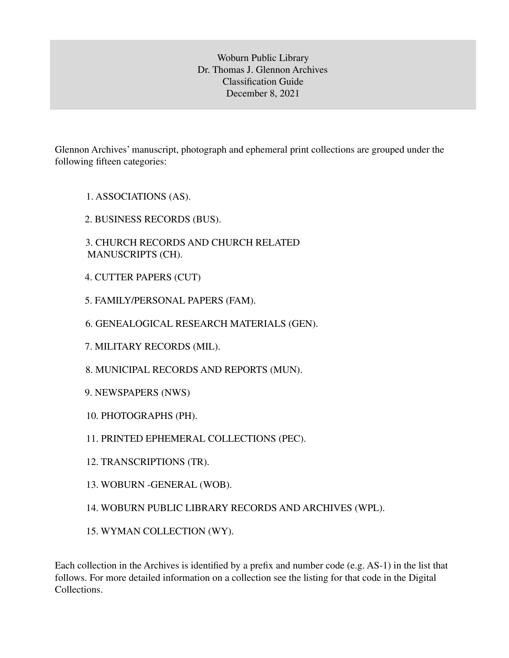Woburn Public Library Dr. Thomas J. Glennon Archives Classification Guide December 8, 2021

Glennon Archives' manuscript, photograph and ephemeral print collections are grouped under the following fifteen categories:

- 1. ASSOCIATIONS (AS).
- 2. BUSINESS RECORDS (BUS).
- 3. CHURCH RECORDS AND CHURCH RELATED MANUSCRIPTS (CH).
- 4. CUTTER PAPERS (CUT)
- 5. FAMILY/PERSONAL PAPERS (FAM).
- 6. GENEALOGICAL RESEARCH MATERIALS (GEN).
- 7. MILITARY RECORDS (MIL).
- 8. MUNICIPAL RECORDS AND REPORTS (MUN).
- 9. NEWSPAPERS (NWS)
- 10. PHOTOGRAPHS (PH).
- 11. PRINTED EPHEMERAL COLLECTIONS (PEC).
- 12. TRANSCRIPTIONS (TR).
- 13. WOBURN -GENERAL (WOB).
- 14. WOBURN PUBLIC LIBRARY RECORDS AND ARCHIVES (WPL).
- 15. WYMAN COLLECTION (WY).

Each collection in the Archives is identified by a prefix and number code (e.g. AS-1) in the list that follows. For more detailed information on a collection see the listing for that code in the Digital Collections.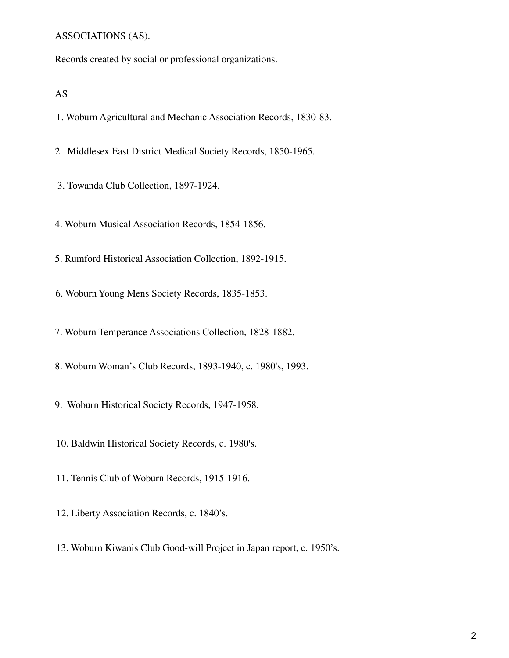#### ASSOCIATIONS (AS).

Records created by social or professional organizations.

AS

1. Woburn Agricultural and Mechanic Association Records, 1830-83.

2. Middlesex East District Medical Society Records, 1850-1965.

3. Towanda Club Collection, 1897-1924.

4. Woburn Musical Association Records, 1854-1856.

5. Rumford Historical Association Collection, 1892-1915.

6. Woburn Young Mens Society Records, 1835-1853.

7. Woburn Temperance Associations Collection, 1828-1882.

8. Woburn Woman's Club Records, 1893-1940, c. 1980's, 1993.

9. Woburn Historical Society Records, 1947-1958.

10. Baldwin Historical Society Records, c. 1980's.

11. Tennis Club of Woburn Records, 1915-1916.

12. Liberty Association Records, c. 1840's.

13. Woburn Kiwanis Club Good-will Project in Japan report, c. 1950's.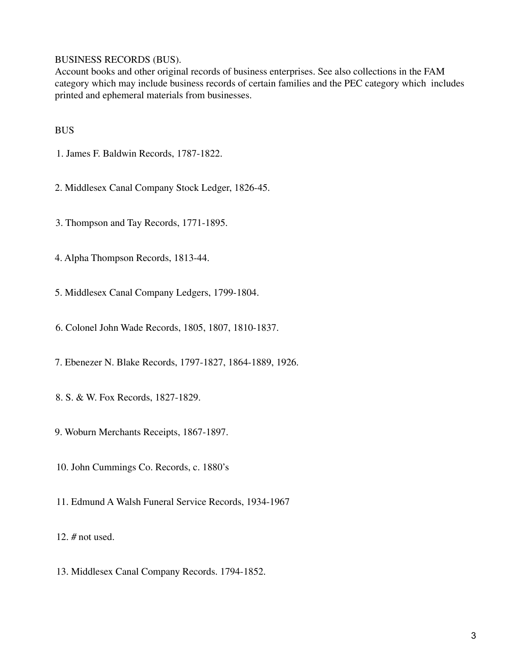## BUSINESS RECORDS (BUS).

Account books and other original records of business enterprises. See also collections in the FAM category which may include business records of certain families and the PEC category which includes printed and ephemeral materials from businesses.

## BUS

- 1. James F. Baldwin Records, 1787-1822.
- 2. Middlesex Canal Company Stock Ledger, 1826-45.
- 3. Thompson and Tay Records, 1771-1895.
- 4. Alpha Thompson Records, 1813-44.
- 5. Middlesex Canal Company Ledgers, 1799-1804.
- 6. Colonel John Wade Records, 1805, 1807, 1810-1837.
- 7. Ebenezer N. Blake Records, 1797-1827, 1864-1889, 1926.
- 8. S. & W. Fox Records, 1827-1829.
- 9. Woburn Merchants Receipts, 1867-1897.
- 10. John Cummings Co. Records, c. 1880's
- 11. Edmund A Walsh Funeral Service Records, 1934-1967
- 12. # not used.
- 13. Middlesex Canal Company Records. 1794-1852.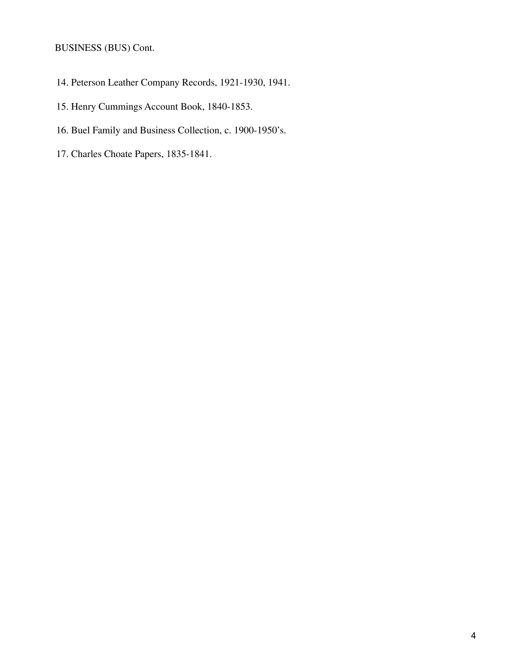# BUSINESS (BUS) Cont.

- 14. Peterson Leather Company Records, 1921-1930, 1941.
- 15. Henry Cummings Account Book, 1840-1853.
- 16. Buel Family and Business Collection, c. 1900-1950's.
- 17. Charles Choate Papers, 1835-1841.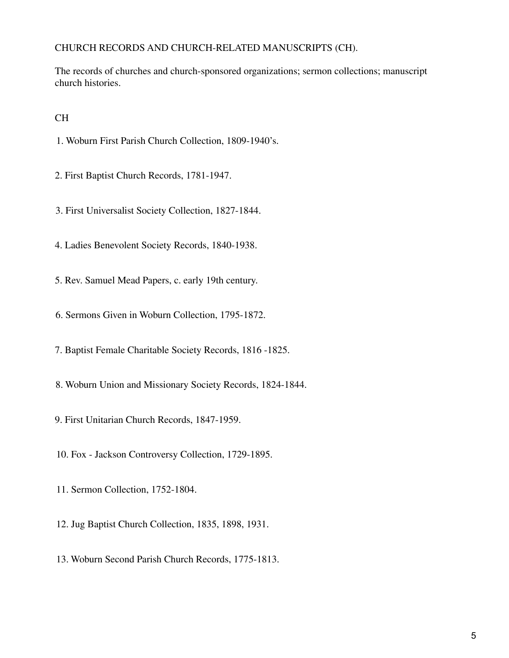# CHURCH RECORDS AND CHURCH-RELATED MANUSCRIPTS (CH).

The records of churches and church-sponsored organizations; sermon collections; manuscript church histories.

# CH

- 1. Woburn First Parish Church Collection, 1809-1940's.
- 2. First Baptist Church Records, 1781-1947.
- 3. First Universalist Society Collection, 1827-1844.
- 4. Ladies Benevolent Society Records, 1840-1938.
- 5. Rev. Samuel Mead Papers, c. early 19th century.
- 6. Sermons Given in Woburn Collection, 1795-1872.
- 7. Baptist Female Charitable Society Records, 1816 -1825.
- 8. Woburn Union and Missionary Society Records, 1824-1844.
- 9. First Unitarian Church Records, 1847-1959.
- 10. Fox Jackson Controversy Collection, 1729-1895.
- 11. Sermon Collection, 1752-1804.
- 12. Jug Baptist Church Collection, 1835, 1898, 1931.
- 13. Woburn Second Parish Church Records, 1775-1813.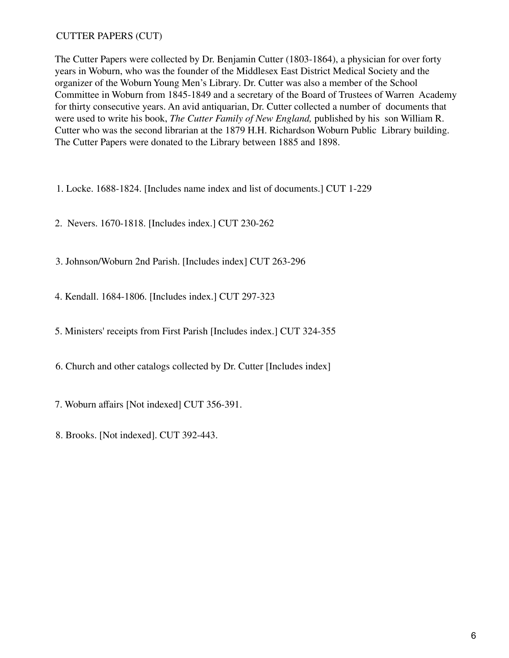# CUTTER PAPERS (CUT)

The Cutter Papers were collected by Dr. Benjamin Cutter (1803-1864), a physician for over forty years in Woburn, who was the founder of the Middlesex East District Medical Society and the organizer of the Woburn Young Men's Library. Dr. Cutter was also a member of the School Committee in Woburn from 1845-1849 and a secretary of the Board of Trustees of Warren Academy for thirty consecutive years. An avid antiquarian, Dr. Cutter collected a number of documents that were used to write his book, *The Cutter Family of New England,* published by his son William R. Cutter who was the second librarian at the 1879 H.H. Richardson Woburn Public Library building. The Cutter Papers were donated to the Library between 1885 and 1898.

- 1. Locke. 1688-1824. [Includes name index and list of documents.] CUT 1-229
- 2. Nevers. 1670-1818. [Includes index.] CUT 230-262
- 3. Johnson/Woburn 2nd Parish. [Includes index] CUT 263-296
- 4. Kendall. 1684-1806. [Includes index.] CUT 297-323
- 5. Ministers' receipts from First Parish [Includes index.] CUT 324-355
- 6. Church and other catalogs collected by Dr. Cutter [Includes index]
- 7. Woburn affairs [Not indexed] CUT 356-391.
- 8. Brooks. [Not indexed]. CUT 392-443.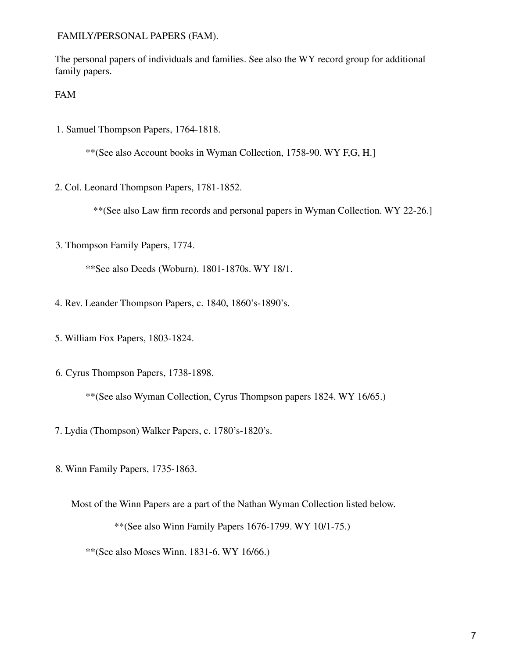FAMILY/PERSONAL PAPERS (FAM).

The personal papers of individuals and families. See also the WY record group for additional family papers.

FAM

1. Samuel Thompson Papers, 1764-1818.

\*\*(See also Account books in Wyman Collection, 1758-90. WY F,G, H.]

2. Col. Leonard Thompson Papers, 1781-1852.

\*\*(See also Law firm records and personal papers in Wyman Collection. WY 22-26.]

3. Thompson Family Papers, 1774.

\*\*See also Deeds (Woburn). 1801-1870s. WY 18/1.

- 4. Rev. Leander Thompson Papers, c. 1840, 1860's-1890's.
- 5. William Fox Papers, 1803-1824.
- 6. Cyrus Thompson Papers, 1738-1898.

\*\*(See also Wyman Collection, Cyrus Thompson papers 1824. WY 16/65.)

- 7. Lydia (Thompson) Walker Papers, c. 1780's-1820's.
- 8. Winn Family Papers, 1735-1863.

Most of the Winn Papers are a part of the Nathan Wyman Collection listed below.

\*\*(See also Winn Family Papers 1676-1799. WY 10/1-75.)

\*\*(See also Moses Winn. 1831-6. WY 16/66.)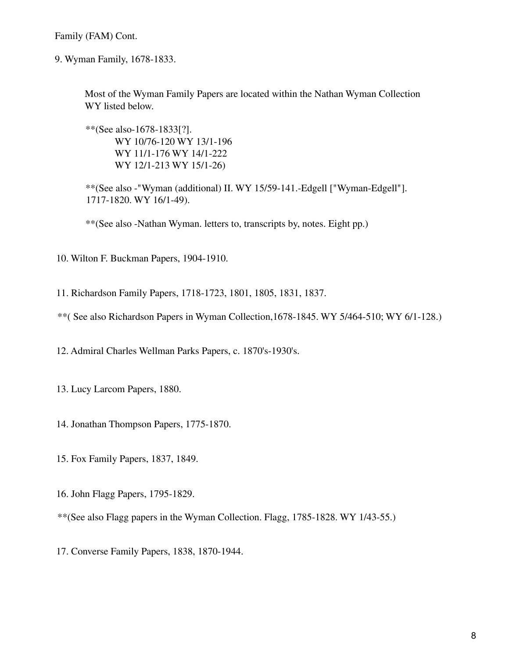Family (FAM) Cont.

9. Wyman Family, 1678-1833.

Most of the Wyman Family Papers are located within the Nathan Wyman Collection WY listed below.

\*\*(See also-1678-1833[?]. WY 10/76-120 WY 13/1-196 WY 11/1-176 WY 14/1-222 WY 12/1-213 WY 15/1-26)

\*\*(See also -"Wyman (additional) II. WY 15/59-141.-Edgell ["Wyman-Edgell"]. 1717-1820. WY 16/1-49).

\*\*(See also -Nathan Wyman. letters to, transcripts by, notes. Eight pp.)

10. Wilton F. Buckman Papers, 1904-1910.

11. Richardson Family Papers, 1718-1723, 1801, 1805, 1831, 1837.

\*\*( See also Richardson Papers in Wyman Collection,1678-1845. WY 5/464-510; WY 6/1-128.)

12. Admiral Charles Wellman Parks Papers, c. 1870's-1930's.

13. Lucy Larcom Papers, 1880.

- 14. Jonathan Thompson Papers, 1775-1870.
- 15. Fox Family Papers, 1837, 1849.
- 16. John Flagg Papers, 1795-1829.

\*\*(See also Flagg papers in the Wyman Collection. Flagg, 1785-1828. WY 1/43-55.)

17. Converse Family Papers, 1838, 1870-1944.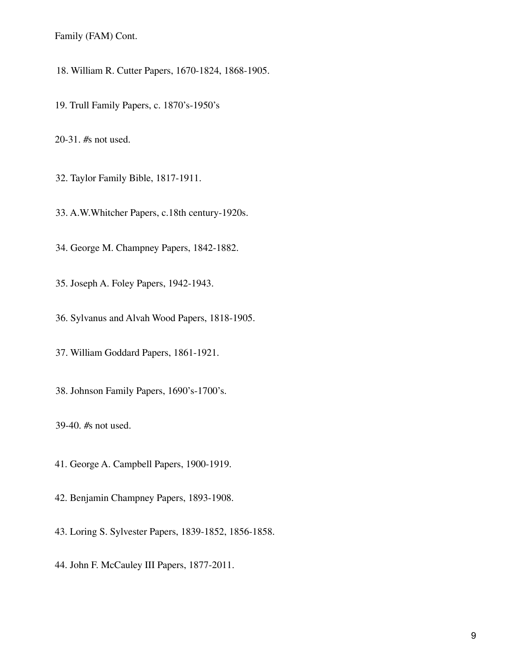Family (FAM) Cont.

18. William R. Cutter Papers, 1670-1824, 1868-1905.

19. Trull Family Papers, c. 1870's-1950's

20-31. #s not used.

32. Taylor Family Bible, 1817-1911.

33. A.W.Whitcher Papers, c.18th century-1920s.

34. George M. Champney Papers, 1842-1882.

35. Joseph A. Foley Papers, 1942-1943.

36. Sylvanus and Alvah Wood Papers, 1818-1905.

37. William Goddard Papers, 1861-1921.

38. Johnson Family Papers, 1690's-1700's.

39-40. #s not used.

41. George A. Campbell Papers, 1900-1919.

42. Benjamin Champney Papers, 1893-1908.

43. Loring S. Sylvester Papers, 1839-1852, 1856-1858.

44. John F. McCauley III Papers, 1877-2011.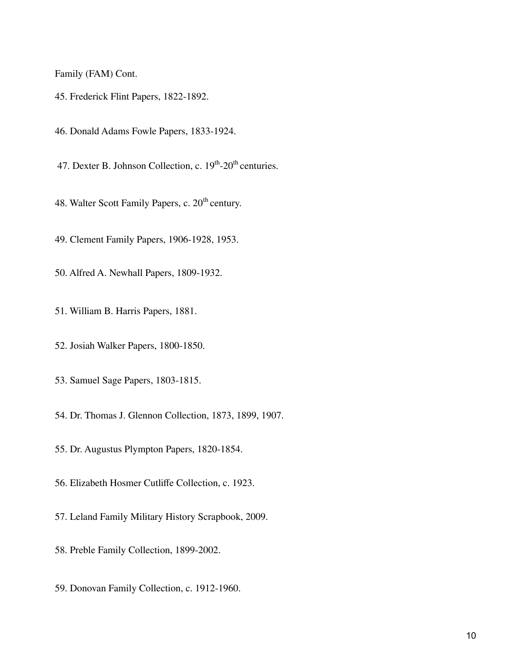Family (FAM) Cont.

- 45. Frederick Flint Papers, 1822-1892.
- 46. Donald Adams Fowle Papers, 1833-1924.
- 47. Dexter B. Johnson Collection, c.  $19<sup>th</sup>$ -20<sup>th</sup> centuries.
- 48. Walter Scott Family Papers, c. 20<sup>th</sup> century.
- 49. Clement Family Papers, 1906-1928, 1953.
- 50. Alfred A. Newhall Papers, 1809-1932.
- 51. William B. Harris Papers, 1881.
- 52. Josiah Walker Papers, 1800-1850.
- 53. Samuel Sage Papers, 1803-1815.
- 54. Dr. Thomas J. Glennon Collection, 1873, 1899, 1907.
- 55. Dr. Augustus Plympton Papers, 1820-1854.
- 56. Elizabeth Hosmer Cutliffe Collection, c. 1923.
- 57. Leland Family Military History Scrapbook, 2009.
- 58. Preble Family Collection, 1899-2002.
- 59. Donovan Family Collection, c. 1912-1960.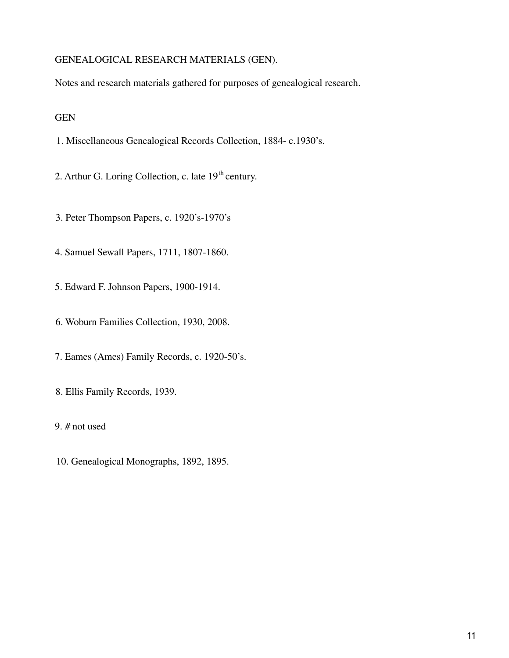## GENEALOGICAL RESEARCH MATERIALS (GEN).

Notes and research materials gathered for purposes of genealogical research.

GEN

- 1. Miscellaneous Genealogical Records Collection, 1884- c.1930's.
- 2. Arthur G. Loring Collection, c. late  $19<sup>th</sup>$  century.
- 3. Peter Thompson Papers, c. 1920's-1970's
- 4. Samuel Sewall Papers, 1711, 1807-1860.
- 5. Edward F. Johnson Papers, 1900-1914.
- 6. Woburn Families Collection, 1930, 2008.
- 7. Eames (Ames) Family Records, c. 1920-50's.
- 8. Ellis Family Records, 1939.
- 9. # not used
- 10. Genealogical Monographs, 1892, 1895.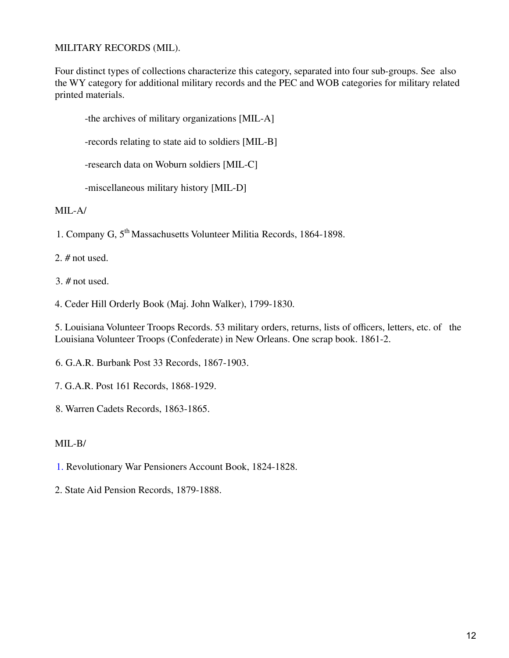## MILITARY RECORDS (MIL).

Four distinct types of collections characterize this category, separated into four sub-groups. See also the WY category for additional military records and the PEC and WOB categories for military related printed materials.

-the archives of military organizations [MIL-A] -records relating to state aid to soldiers [MIL-B] -research data on Woburn soldiers [MIL-C] -miscellaneous military history [MIL-D]

MIL-A/

1. Company G, 5<sup>th</sup> Massachusetts Volunteer Militia Records, 1864-1898.

2. # not used.

3. # not used.

4. Ceder Hill Orderly Book (Maj. John Walker), 1799-1830.

5. Louisiana Volunteer Troops Records. 53 military orders, returns, lists of officers, letters, etc. of the Louisiana Volunteer Troops (Confederate) in New Orleans. One scrap book. 1861-2.

6. G.A.R. Burbank Post 33 Records, 1867-1903.

- 7. G.A.R. Post 161 Records, 1868-1929.
- 8. Warren Cadets Records, 1863-1865.

## MIL-B/

- 1. Revolutionary War Pensioners Account Book, 1824-1828.
- 2. State Aid Pension Records, 1879-1888.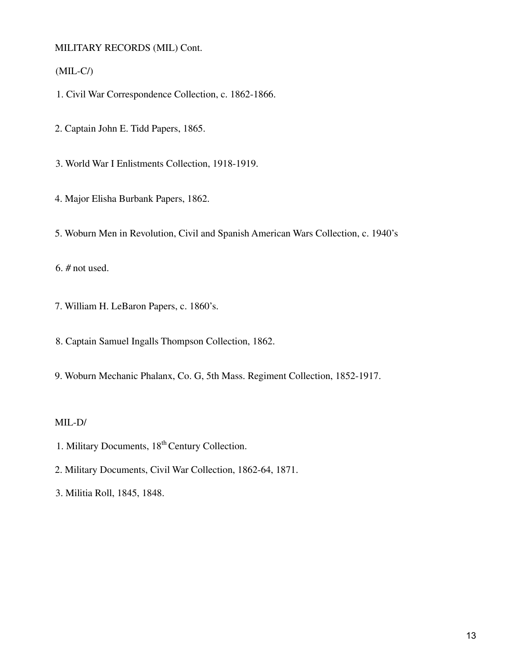MILITARY RECORDS (MIL) Cont.

(MIL-C/)

1. Civil War Correspondence Collection, c. 1862-1866.

2. Captain John E. Tidd Papers, 1865.

3. World War I Enlistments Collection, 1918-1919.

4. Major Elisha Burbank Papers, 1862.

5. Woburn Men in Revolution, Civil and Spanish American Wars Collection, c. 1940's

6. # not used.

7. William H. LeBaron Papers, c. 1860's.

8. Captain Samuel Ingalls Thompson Collection, 1862.

9. Woburn Mechanic Phalanx, Co. G, 5th Mass. Regiment Collection, 1852-1917.

## MIL-D/

- 1. Military Documents, 18<sup>th</sup> Century Collection.
- 2. Military Documents, Civil War Collection, 1862-64, 1871.

3. Militia Roll, 1845, 1848.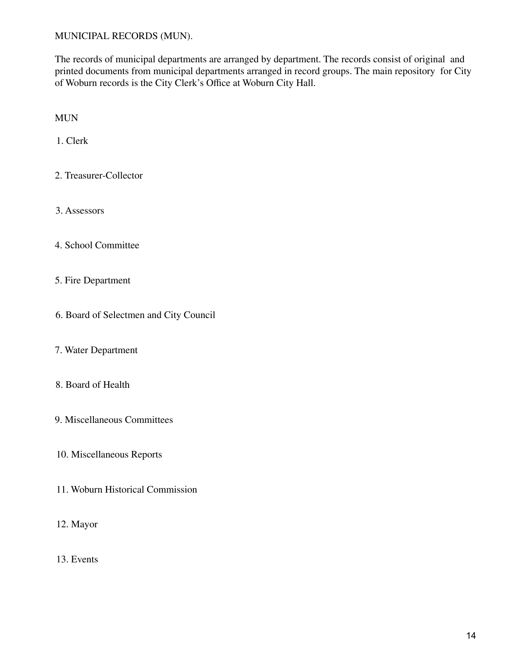## MUNICIPAL RECORDS (MUN).

The records of municipal departments are arranged by department. The records consist of original and printed documents from municipal departments arranged in record groups. The main repository for City of Woburn records is the City Clerk's Office at Woburn City Hall.

MUN

1. Clerk

- 2. Treasurer-Collector
- 3. Assessors
- 4. School Committee
- 5. Fire Department
- 6. Board of Selectmen and City Council
- 7. Water Department
- 8. Board of Health
- 9. Miscellaneous Committees
- 10. Miscellaneous Reports
- 11. Woburn Historical Commission
- 12. Mayor
- 13. Events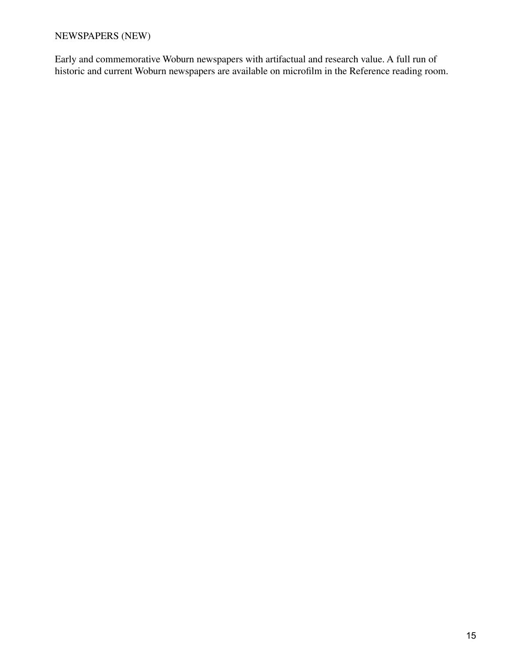# NEWSPAPERS (NEW)

Early and commemorative Woburn newspapers with artifactual and research value. A full run of historic and current Woburn newspapers are available on microfilm in the Reference reading room.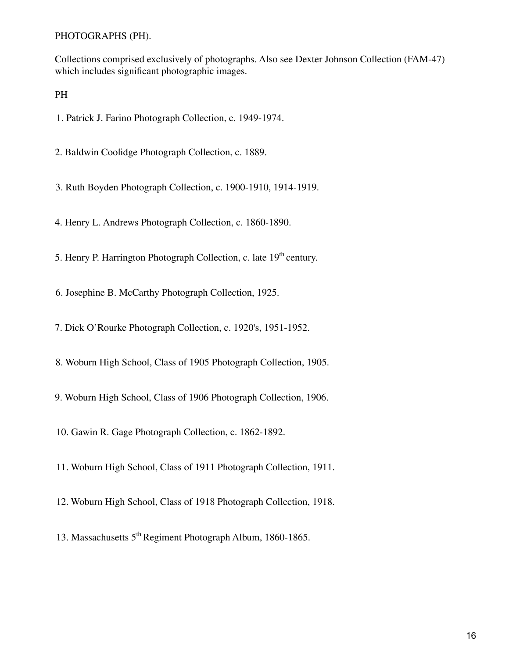PHOTOGRAPHS (PH).

Collections comprised exclusively of photographs. Also see Dexter Johnson Collection (FAM-47) which includes significant photographic images.

PH

1. Patrick J. Farino Photograph Collection, c. 1949-1974.

2. Baldwin Coolidge Photograph Collection, c. 1889.

3. Ruth Boyden Photograph Collection, c. 1900-1910, 1914-1919.

4. Henry L. Andrews Photograph Collection, c. 1860-1890.

5. Henry P. Harrington Photograph Collection, c. late 19<sup>th</sup> century.

6. Josephine B. McCarthy Photograph Collection, 1925.

7. Dick O'Rourke Photograph Collection, c. 1920's, 1951-1952.

8. Woburn High School, Class of 1905 Photograph Collection, 1905.

9. Woburn High School, Class of 1906 Photograph Collection, 1906.

10. Gawin R. Gage Photograph Collection, c. 1862-1892.

11. Woburn High School, Class of 1911 Photograph Collection, 1911.

12. Woburn High School, Class of 1918 Photograph Collection, 1918.

13. Massachusetts 5<sup>th</sup> Regiment Photograph Album, 1860-1865.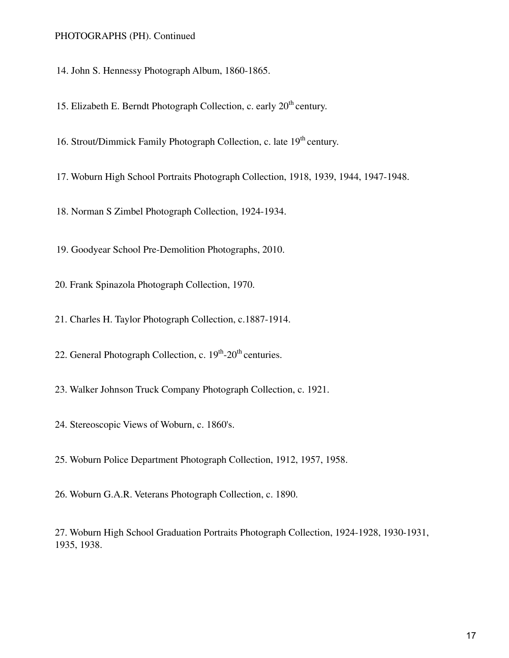#### PHOTOGRAPHS (PH). Continued

14. John S. Hennessy Photograph Album, 1860-1865.

15. Elizabeth E. Berndt Photograph Collection, c. early  $20<sup>th</sup>$  century.

16. Strout/Dimmick Family Photograph Collection, c. late 19<sup>th</sup> century.

17. Woburn High School Portraits Photograph Collection, 1918, 1939, 1944, 1947-1948.

18. Norman S Zimbel Photograph Collection, 1924-1934.

19. Goodyear School Pre-Demolition Photographs, 2010.

20. Frank Spinazola Photograph Collection, 1970.

21. Charles H. Taylor Photograph Collection, c.1887-1914.

22. General Photograph Collection, c. 19<sup>th</sup>-20<sup>th</sup> centuries.

23. Walker Johnson Truck Company Photograph Collection, c. 1921.

24. Stereoscopic Views of Woburn, c. 1860's.

25. Woburn Police Department Photograph Collection, 1912, 1957, 1958.

26. Woburn G.A.R. Veterans Photograph Collection, c. 1890.

27. Woburn High School Graduation Portraits Photograph Collection, 1924-1928, 1930-1931, 1935, 1938.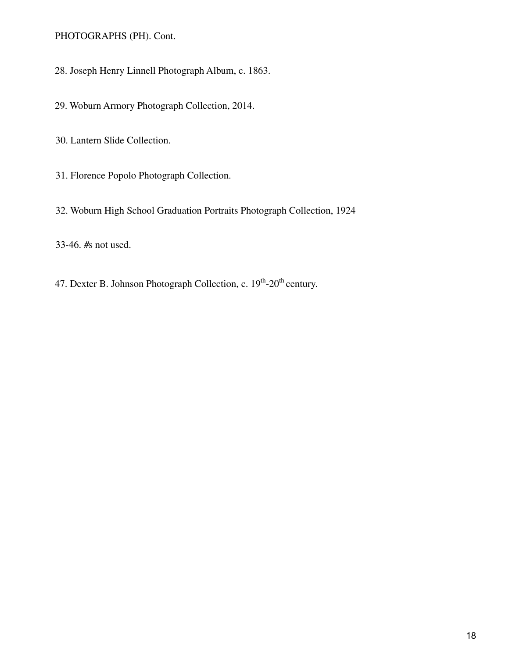PHOTOGRAPHS (PH). Cont.

28. Joseph Henry Linnell Photograph Album, c. 1863.

29. Woburn Armory Photograph Collection, 2014.

30. Lantern Slide Collection.

31. Florence Popolo Photograph Collection.

32. Woburn High School Graduation Portraits Photograph Collection, 1924

33-46. #s not used.

47. Dexter B. Johnson Photograph Collection, c. 19<sup>th</sup>-20<sup>th</sup> century.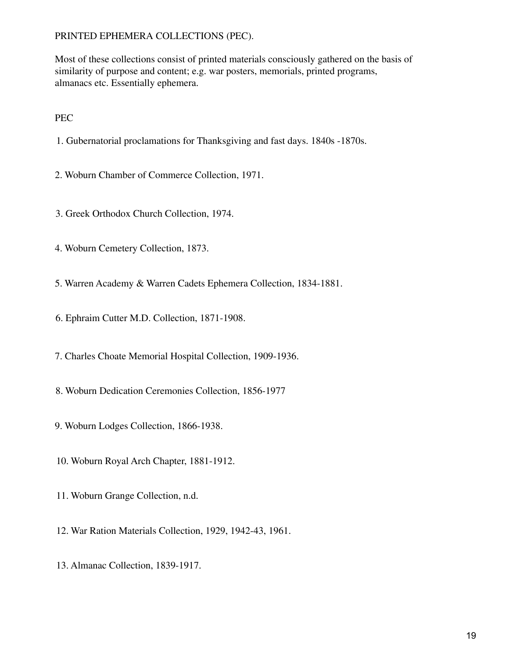Most of these collections consist of printed materials consciously gathered on the basis of similarity of purpose and content; e.g. war posters, memorials, printed programs, almanacs etc. Essentially ephemera.

PEC

1. Gubernatorial proclamations for Thanksgiving and fast days. 1840s -1870s.

2. Woburn Chamber of Commerce Collection, 1971.

- 3. Greek Orthodox Church Collection, 1974.
- 4. Woburn Cemetery Collection, 1873.
- 5. Warren Academy & Warren Cadets Ephemera Collection, 1834-1881.
- 6. Ephraim Cutter M.D. Collection, 1871-1908.
- 7. Charles Choate Memorial Hospital Collection, 1909-1936.
- 8. Woburn Dedication Ceremonies Collection, 1856-1977
- 9. Woburn Lodges Collection, 1866-1938.
- 10. Woburn Royal Arch Chapter, 1881-1912.
- 11. Woburn Grange Collection, n.d.
- 12. War Ration Materials Collection, 1929, 1942-43, 1961.
- 13. Almanac Collection, 1839-1917.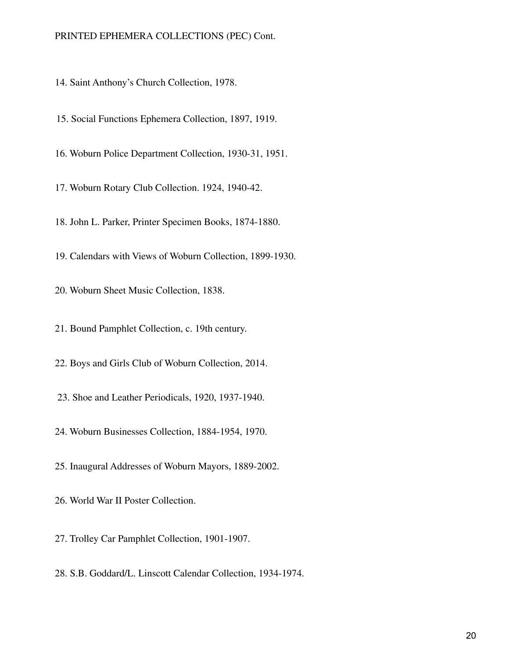14. Saint Anthony's Church Collection, 1978.

15. Social Functions Ephemera Collection, 1897, 1919.

16. Woburn Police Department Collection, 1930-31, 1951.

17. Woburn Rotary Club Collection. 1924, 1940-42.

18. John L. Parker, Printer Specimen Books, 1874-1880.

19. Calendars with Views of Woburn Collection, 1899-1930.

20. Woburn Sheet Music Collection, 1838.

21. Bound Pamphlet Collection, c. 19th century.

22. Boys and Girls Club of Woburn Collection, 2014.

23. Shoe and Leather Periodicals, 1920, 1937-1940.

24. Woburn Businesses Collection, 1884-1954, 1970.

25. Inaugural Addresses of Woburn Mayors, 1889-2002.

26. World War II Poster Collection.

27. Trolley Car Pamphlet Collection, 1901-1907.

28. S.B. Goddard/L. Linscott Calendar Collection, 1934-1974.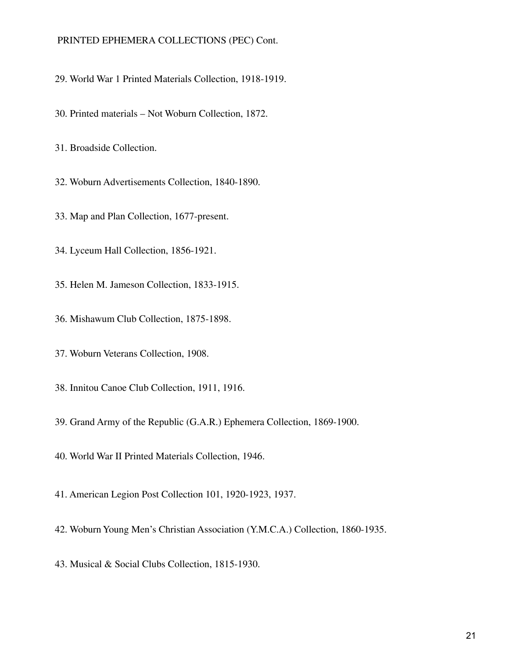- 29. World War 1 Printed Materials Collection, 1918-1919.
- 30. Printed materials Not Woburn Collection, 1872.
- 31. Broadside Collection.
- 32. Woburn Advertisements Collection, 1840-1890.
- 33. Map and Plan Collection, 1677-present.
- 34. Lyceum Hall Collection, 1856-1921.
- 35. Helen M. Jameson Collection, 1833-1915.
- 36. Mishawum Club Collection, 1875-1898.
- 37. Woburn Veterans Collection, 1908.
- 38. Innitou Canoe Club Collection, 1911, 1916.
- 39. Grand Army of the Republic (G.A.R.) Ephemera Collection, 1869-1900.
- 40. World War II Printed Materials Collection, 1946.
- 41. American Legion Post Collection 101, 1920-1923, 1937.
- 42. Woburn Young Men's Christian Association (Y.M.C.A.) Collection, 1860-1935.
- 43. Musical & Social Clubs Collection, 1815-1930.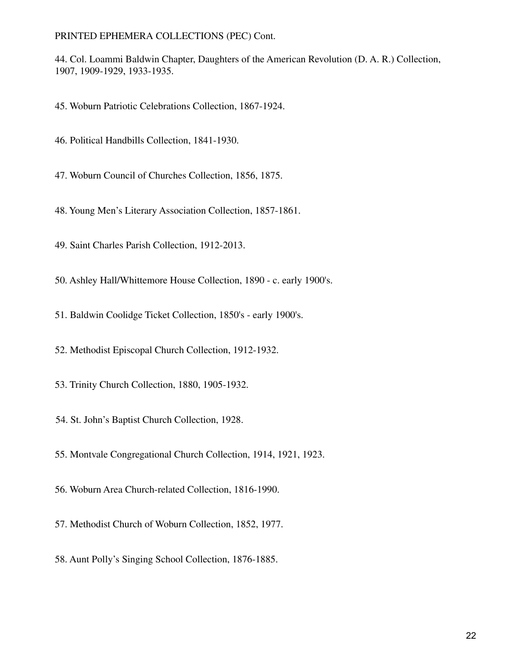44. Col. Loammi Baldwin Chapter, Daughters of the American Revolution (D. A. R.) Collection, 1907, 1909-1929, 1933-1935.

45. Woburn Patriotic Celebrations Collection, 1867-1924.

46. Political Handbills Collection, 1841-1930.

47. Woburn Council of Churches Collection, 1856, 1875.

48. Young Men's Literary Association Collection, 1857-1861.

49. Saint Charles Parish Collection, 1912-2013.

50. Ashley Hall/Whittemore House Collection, 1890 - c. early 1900's.

51. Baldwin Coolidge Ticket Collection, 1850's - early 1900's.

52. Methodist Episcopal Church Collection, 1912-1932.

53. Trinity Church Collection, 1880, 1905-1932.

54. St. John's Baptist Church Collection, 1928.

55. Montvale Congregational Church Collection, 1914, 1921, 1923.

56. Woburn Area Church-related Collection, 1816-1990.

57. Methodist Church of Woburn Collection, 1852, 1977.

58. Aunt Polly's Singing School Collection, 1876-1885.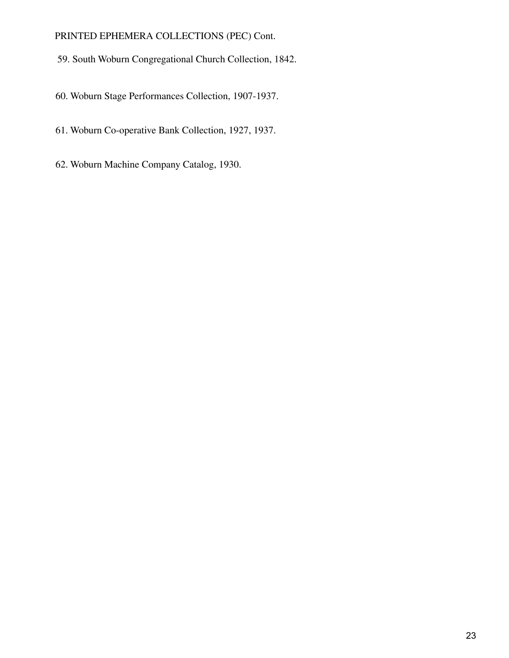- 59. South Woburn Congregational Church Collection, 1842.
- 60. Woburn Stage Performances Collection, 1907-1937.
- 61. Woburn Co-operative Bank Collection, 1927, 1937.
- 62. Woburn Machine Company Catalog, 1930.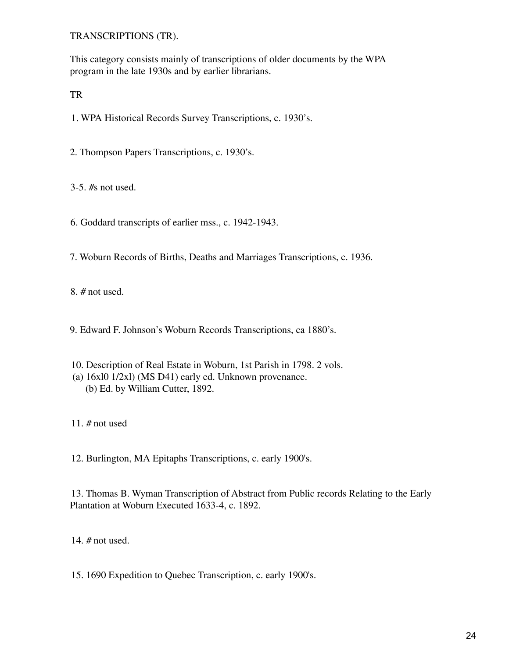TRANSCRIPTIONS (TR).

This category consists mainly of transcriptions of older documents by the WPA program in the late 1930s and by earlier librarians.

TR

1. WPA Historical Records Survey Transcriptions, c. 1930's.

2. Thompson Papers Transcriptions, c. 1930's.

3-5. #s not used.

6. Goddard transcripts of earlier mss., c. 1942-1943.

7. Woburn Records of Births, Deaths and Marriages Transcriptions, c. 1936.

8. # not used.

9. Edward F. Johnson's Woburn Records Transcriptions, ca 1880's.

- 10. Description of Real Estate in Woburn, 1st Parish in 1798. 2 vols. (a) 16xl0 1/2xl) (MS D41) early ed. Unknown provenance.
	- (b) Ed. by William Cutter, 1892.

11. # not used

12. Burlington, MA Epitaphs Transcriptions, c. early 1900's.

13. Thomas B. Wyman Transcription of Abstract from Public records Relating to the Early Plantation at Woburn Executed 1633-4, c. 1892.

14. # not used.

15. 1690 Expedition to Quebec Transcription, c. early 1900's.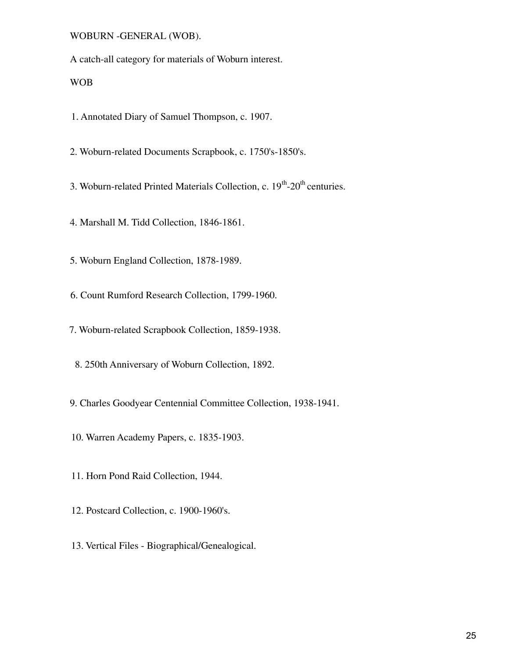WOBURN -GENERAL (WOB).

A catch-all category for materials of Woburn interest.

WOB

1. Annotated Diary of Samuel Thompson, c. 1907.

2. Woburn-related Documents Scrapbook, c. 1750's-1850's.

3. Woburn-related Printed Materials Collection, c.  $19<sup>th</sup>$ -20<sup>th</sup> centuries.

4. Marshall M. Tidd Collection, 1846-1861.

5. Woburn England Collection, 1878-1989.

6. Count Rumford Research Collection, 1799-1960.

7. Woburn-related Scrapbook Collection, 1859-1938.

8. 250th Anniversary of Woburn Collection, 1892.

9. Charles Goodyear Centennial Committee Collection, 1938-1941.

10. Warren Academy Papers, c. 1835-1903.

11. Horn Pond Raid Collection, 1944.

12. Postcard Collection, c. 1900-1960's.

13. Vertical Files - Biographical/Genealogical.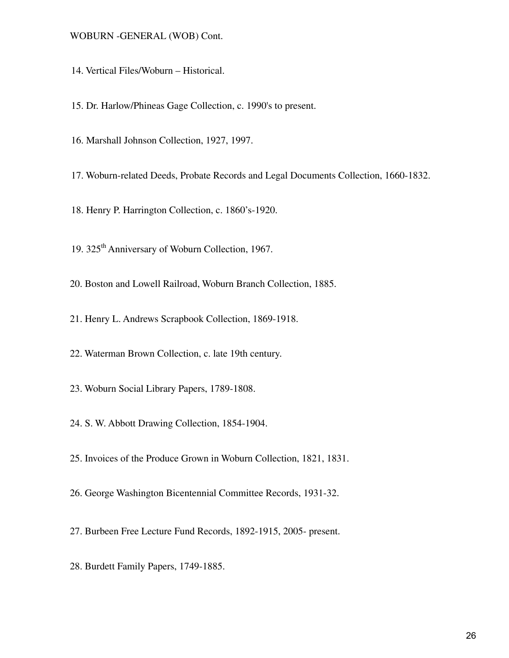#### WOBURN -GENERAL (WOB) Cont.

- 14. Vertical Files/Woburn Historical.
- 15. Dr. Harlow/Phineas Gage Collection, c. 1990's to present.
- 16. Marshall Johnson Collection, 1927, 1997.
- 17. Woburn-related Deeds, Probate Records and Legal Documents Collection, 1660-1832.
- 18. Henry P. Harrington Collection, c. 1860's-1920.
- 19. 325<sup>th</sup> Anniversary of Woburn Collection, 1967.
- 20. Boston and Lowell Railroad, Woburn Branch Collection, 1885.
- 21. Henry L. Andrews Scrapbook Collection, 1869-1918.
- 22. Waterman Brown Collection, c. late 19th century.
- 23. Woburn Social Library Papers, 1789-1808.
- 24. S. W. Abbott Drawing Collection, 1854-1904.
- 25. Invoices of the Produce Grown in Woburn Collection, 1821, 1831.
- 26. George Washington Bicentennial Committee Records, 1931-32.
- 27. Burbeen Free Lecture Fund Records, 1892-1915, 2005- present.
- 28. Burdett Family Papers, 1749-1885.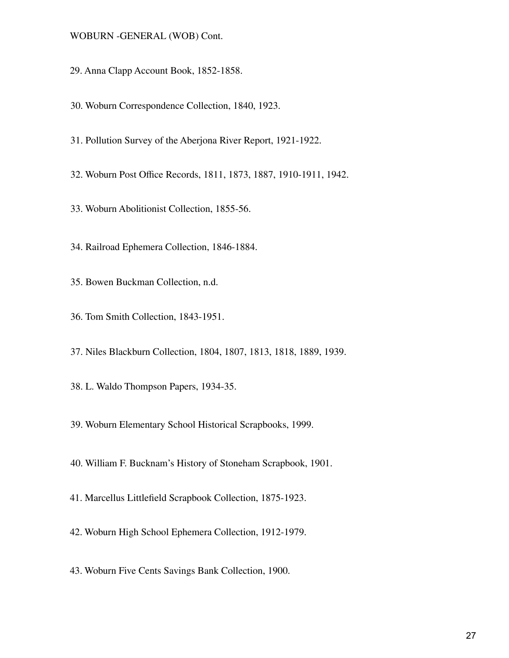#### WOBURN -GENERAL (WOB) Cont.

- 29. Anna Clapp Account Book, 1852-1858.
- 30. Woburn Correspondence Collection, 1840, 1923.
- 31. Pollution Survey of the Aberjona River Report, 1921-1922.
- 32. Woburn Post Office Records, 1811, 1873, 1887, 1910-1911, 1942.
- 33. Woburn Abolitionist Collection, 1855-56.
- 34. Railroad Ephemera Collection, 1846-1884.
- 35. Bowen Buckman Collection, n.d.
- 36. Tom Smith Collection, 1843-1951.
- 37. Niles Blackburn Collection, 1804, 1807, 1813, 1818, 1889, 1939.
- 38. L. Waldo Thompson Papers, 1934-35.
- 39. Woburn Elementary School Historical Scrapbooks, 1999.
- 40. William F. Bucknam's History of Stoneham Scrapbook, 1901.
- 41. Marcellus Littlefield Scrapbook Collection, 1875-1923.
- 42. Woburn High School Ephemera Collection, 1912-1979.
- 43. Woburn Five Cents Savings Bank Collection, 1900.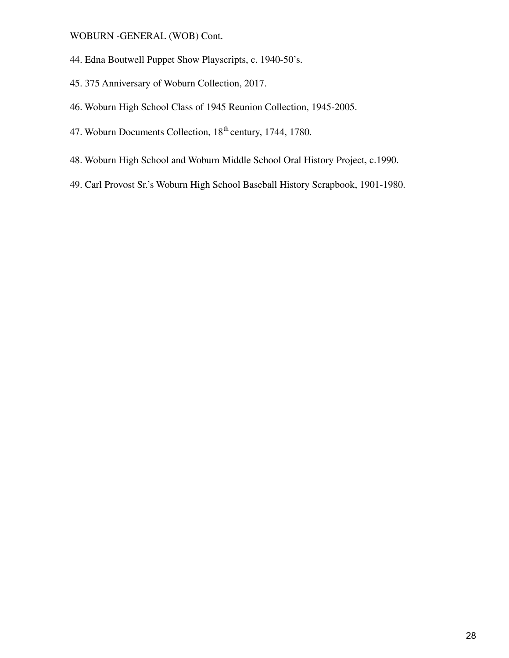WOBURN -GENERAL (WOB) Cont.

- 44. Edna Boutwell Puppet Show Playscripts, c. 1940-50's.
- 45. 375 Anniversary of Woburn Collection, 2017.
- 46. Woburn High School Class of 1945 Reunion Collection, 1945-2005.
- 47. Woburn Documents Collection, 18<sup>th</sup> century, 1744, 1780.
- 48. Woburn High School and Woburn Middle School Oral History Project, c.1990.
- 49. Carl Provost Sr.'s Woburn High School Baseball History Scrapbook, 1901-1980.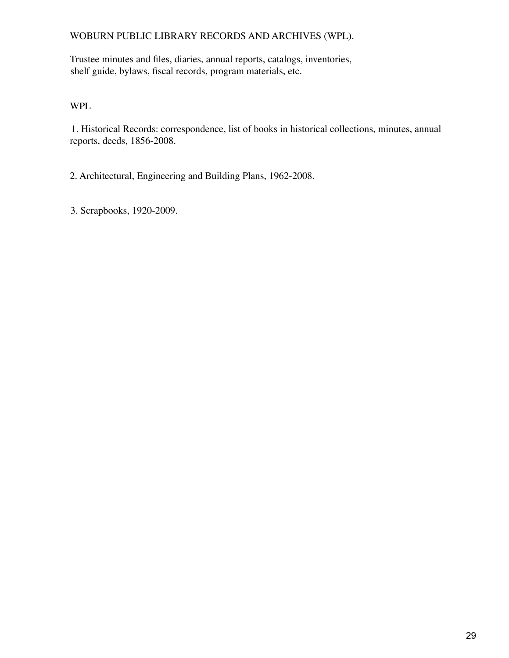# WOBURN PUBLIC LIBRARY RECORDS AND ARCHIVES (WPL).

Trustee minutes and files, diaries, annual reports, catalogs, inventories, shelf guide, bylaws, fiscal records, program materials, etc.

WPL

1. Historical Records: correspondence, list of books in historical collections, minutes, annual reports, deeds, 1856-2008.

2. Architectural, Engineering and Building Plans, 1962-2008.

3. Scrapbooks, 1920-2009.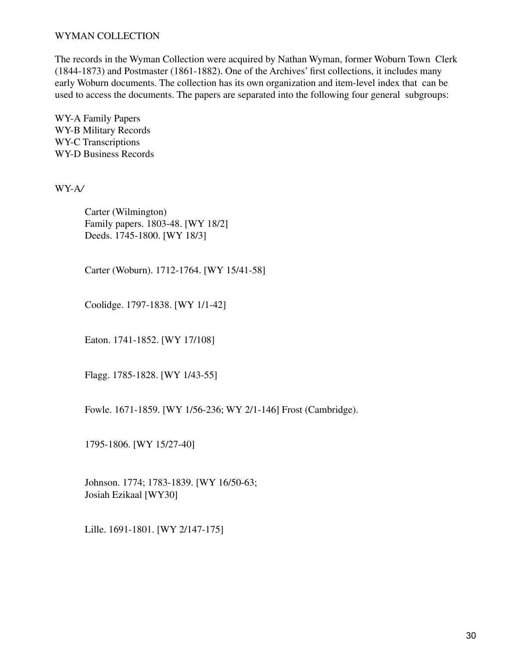## WYMAN COLLECTION

The records in the Wyman Collection were acquired by Nathan Wyman, former Woburn Town Clerk (1844-1873) and Postmaster (1861-1882). One of the Archives' first collections, it includes many early Woburn documents. The collection has its own organization and item-level index that can be used to access the documents. The papers are separated into the following four general subgroups:

WY-A Family Papers WY-B Military Records WY-C Transcriptions WY-D Business Records

WY-A*/*

Carter (Wilmington) Family papers. 1803-48. [WY 18/2] Deeds. 1745-1800. [WY 18/3]

Carter (Woburn). 1712-1764. [WY 15/41-58]

Coolidge. 1797-1838. [WY 1/1-42]

Eaton. 1741-1852. [WY 17/108]

Flagg. 1785-1828. [WY 1/43-55]

Fowle. 1671-1859. [WY 1/56-236; WY 2/1-146] Frost (Cambridge).

1795-1806. [WY 15/27-40]

Johnson. 1774; 1783-1839. [WY 16/50-63; Josiah Ezikaal [WY30]

Lille. 1691-1801. [WY 2/147-175]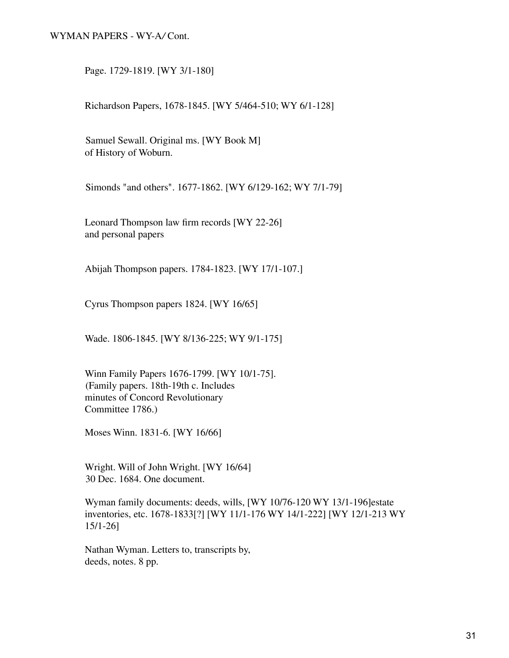#### WYMAN PAPERS - WY-A*/* Cont.

Page. 1729-1819. [WY 3/1-180]

Richardson Papers, 1678-1845. [WY 5/464-510; WY 6/1-128]

Samuel Sewall. Original ms. [WY Book M] of History of Woburn.

Simonds "and others". 1677-1862. [WY 6/129-162; WY 7/1-79]

Leonard Thompson law firm records [WY 22-26] and personal papers

Abijah Thompson papers. 1784-1823. [WY 17/1-107.]

Cyrus Thompson papers 1824. [WY 16/65]

Wade. 1806-1845. [WY 8/136-225; WY 9/1-175]

Winn Family Papers 1676-1799. [WY 10/1-75]. (Family papers. 18th-19th c. Includes minutes of Concord Revolutionary Committee 1786.)

Moses Winn. 1831-6. [WY 16/66]

Wright. Will of John Wright. [WY 16/64] 30 Dec. 1684. One document.

Wyman family documents: deeds, wills, [WY 10/76-120 WY 13/1-196]estate inventories, etc. 1678-1833[?] [WY 11/1-176 WY 14/1-222] [WY 12/1-213 WY 15/1-26]

Nathan Wyman. Letters to, transcripts by, deeds, notes. 8 pp.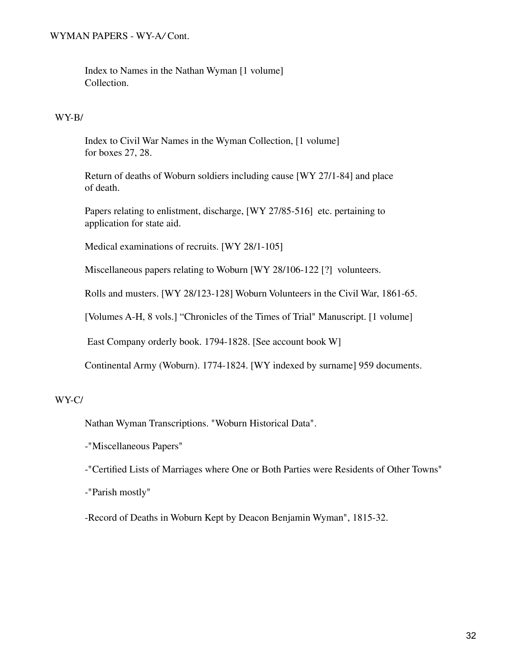### WYMAN PAPERS - WY-A*/* Cont.

Index to Names in the Nathan Wyman [1 volume] Collection.

#### WY-B/

Index to Civil War Names in the Wyman Collection, [1 volume] for boxes 27, 28.

Return of deaths of Woburn soldiers including cause [WY 27/1-84] and place of death.

Papers relating to enlistment, discharge, [WY 27/85-516] etc. pertaining to application for state aid.

Medical examinations of recruits. [WY 28/1-105]

Miscellaneous papers relating to Woburn [WY 28/106-122 [?] volunteers.

Rolls and musters. [WY 28/123-128] Woburn Volunteers in the Civil War, 1861-65.

[Volumes A-H, 8 vols.] "Chronicles of the Times of Trial" Manuscript. [1 volume]

East Company orderly book. 1794-1828. [See account book W]

Continental Army (Woburn). 1774-1824. [WY indexed by surname] 959 documents.

## WY-C/

Nathan Wyman Transcriptions. "Woburn Historical Data".

-"Miscellaneous Papers"

-"Certified Lists of Marriages where One or Both Parties were Residents of Other Towns"

-"Parish mostly"

-Record of Deaths in Woburn Kept by Deacon Benjamin Wyman", 1815-32.